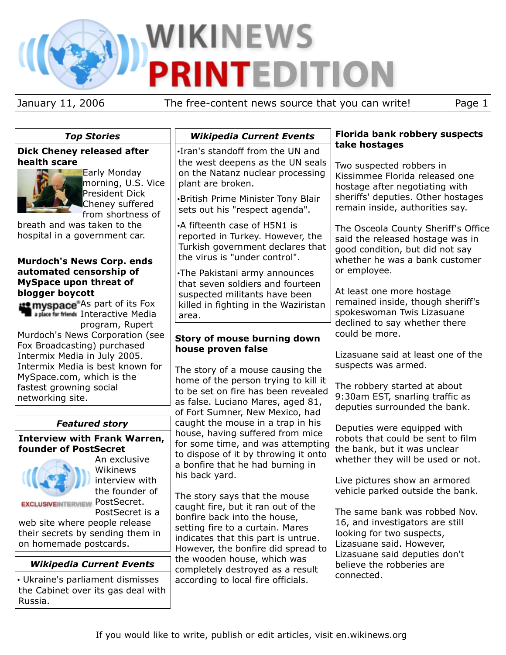# **WIKINEWS** P E

January 11, 2006 The free-content news source that you can write! Page 1

| <b>Top Stories</b>                                                                                                                                                                                                                                                          | <b>Wikipedia Current Events</b>                                                                                                                                                                                                                                                                                                                                                                                                                                                                                                                                                                                                                                                                                                                                                                                                                                                                                                                                                                                                                                                            | <b>Florida bank robbery suspects</b><br>take hostages                                                                                                                                                                          |
|-----------------------------------------------------------------------------------------------------------------------------------------------------------------------------------------------------------------------------------------------------------------------------|--------------------------------------------------------------------------------------------------------------------------------------------------------------------------------------------------------------------------------------------------------------------------------------------------------------------------------------------------------------------------------------------------------------------------------------------------------------------------------------------------------------------------------------------------------------------------------------------------------------------------------------------------------------------------------------------------------------------------------------------------------------------------------------------------------------------------------------------------------------------------------------------------------------------------------------------------------------------------------------------------------------------------------------------------------------------------------------------|--------------------------------------------------------------------------------------------------------------------------------------------------------------------------------------------------------------------------------|
| <b>Dick Cheney released after</b><br>health scare<br>Early Monday<br>morning, U.S. Vice<br><b>President Dick</b><br>Cheney suffered<br>from shortness of                                                                                                                    | .Iran's standoff from the UN and<br>the west deepens as the UN seals<br>on the Natanz nuclear processing<br>plant are broken.<br>•British Prime Minister Tony Blair<br>sets out his "respect agenda".                                                                                                                                                                                                                                                                                                                                                                                                                                                                                                                                                                                                                                                                                                                                                                                                                                                                                      | Two suspected robbers in<br>Kissimmee Florida released one<br>hostage after negotiating with<br>sheriffs' deputies. Other hostages<br>remain inside, authorities say.                                                          |
| breath and was taken to the<br>hospital in a government car.<br><b>Murdoch's News Corp. ends</b><br>automated censorship of<br><b>MySpace upon threat of</b><br>blogger boycott<br><b>12 myspace</b> As part of its Fox<br><b>The a place for friends</b> Interactive Media | •A fifteenth case of H5N1 is<br>reported in Turkey. However, the<br>Turkish government declares that<br>the virus is "under control".<br>. The Pakistani army announces<br>that seven soldiers and fourteen<br>suspected militants have been<br>killed in fighting in the Waziristan<br>area.<br>Story of mouse burning down<br>house proven false<br>The story of a mouse causing the<br>home of the person trying to kill it<br>to be set on fire has been revealed<br>as false. Luciano Mares, aged 81,<br>of Fort Sumner, New Mexico, had<br>caught the mouse in a trap in his<br>house, having suffered from mice<br>for some time, and was attempting<br>to dispose of it by throwing it onto<br>a bonfire that he had burning in<br>his back yard.<br>The story says that the mouse<br>caught fire, but it ran out of the<br>bonfire back into the house,<br>setting fire to a curtain. Mares<br>indicates that this part is untrue.<br>However, the bonfire did spread to<br>the wooden house, which was<br>completely destroyed as a result<br>according to local fire officials. | The Osceola County Sheriff's Office<br>said the released hostage was in<br>good condition, but did not say<br>whether he was a bank customer<br>or employee.<br>At least one more hostage<br>remained inside, though sheriff's |
| program, Rupert<br>Murdoch's News Corporation (see<br>Fox Broadcasting) purchased<br>Intermix Media in July 2005.<br>Intermix Media is best known for<br>MySpace.com, which is the<br>fastest growning social<br>networking site.                                           |                                                                                                                                                                                                                                                                                                                                                                                                                                                                                                                                                                                                                                                                                                                                                                                                                                                                                                                                                                                                                                                                                            | spokeswoman Twis Lizasuane<br>declined to say whether there<br>could be more.<br>Lizasuane said at least one of the<br>suspects was armed.<br>The robbery started at about<br>9:30am EST, snarling traffic as                  |
|                                                                                                                                                                                                                                                                             |                                                                                                                                                                                                                                                                                                                                                                                                                                                                                                                                                                                                                                                                                                                                                                                                                                                                                                                                                                                                                                                                                            | deputies surrounded the bank.                                                                                                                                                                                                  |
| <b>Featured story</b><br><b>Interview with Frank Warren,</b><br>founder of PostSecret<br>An exclusive<br>Wikinews                                                                                                                                                           |                                                                                                                                                                                                                                                                                                                                                                                                                                                                                                                                                                                                                                                                                                                                                                                                                                                                                                                                                                                                                                                                                            | Deputies were equipped with<br>robots that could be sent to film<br>the bank, but it was unclear<br>whether they will be used or not.                                                                                          |
| interview with<br>the founder of<br><b>EXCLUSIVEINTERVIEW POStSecret.</b><br>PostSecret is a<br>web site where people release<br>their secrets by sending them in<br>on homemade postcards.                                                                                 |                                                                                                                                                                                                                                                                                                                                                                                                                                                                                                                                                                                                                                                                                                                                                                                                                                                                                                                                                                                                                                                                                            | Live pictures show an armored<br>vehicle parked outside the bank.<br>The same bank was robbed Nov.<br>16, and investigators are still<br>looking for two suspects,<br>Lizasuane said. However,                                 |
| <b>Wikipedia Current Events</b>                                                                                                                                                                                                                                             |                                                                                                                                                                                                                                                                                                                                                                                                                                                                                                                                                                                                                                                                                                                                                                                                                                                                                                                                                                                                                                                                                            | Lizasuane said deputies don't<br>believe the robberies are<br>connected.                                                                                                                                                       |
| • Ukraine's parliament dismisses<br>the Cabinet over its gas deal with<br>Russia.                                                                                                                                                                                           |                                                                                                                                                                                                                                                                                                                                                                                                                                                                                                                                                                                                                                                                                                                                                                                                                                                                                                                                                                                                                                                                                            |                                                                                                                                                                                                                                |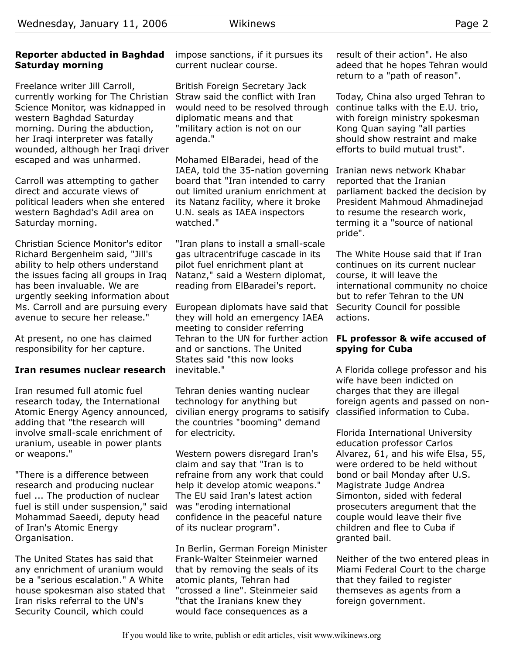# **Reporter abducted in Baghdad Saturday morning**

Freelance writer Jill Carroll, currently working for The Christian Science Monitor, was kidnapped in western Baghdad Saturday morning. During the abduction, her Iraqi interpreter was fatally wounded, although her Iraqi driver escaped and was unharmed.

Carroll was attempting to gather direct and accurate views of political leaders when she entered western Baghdad's Adil area on Saturday morning.

Christian Science Monitor's editor Richard Bergenheim said, "Jill's ability to help others understand the issues facing all groups in Iraq has been invaluable. We are urgently seeking information about Ms. Carroll and are pursuing every avenue to secure her release."

At present, no one has claimed responsibility for her capture.

# **Iran resumes nuclear research**

Iran resumed full atomic fuel research today, the International Atomic Energy Agency announced, adding that "the research will involve small-scale enrichment of uranium, useable in power plants or weapons."

"There is a difference between research and producing nuclear fuel ... The production of nuclear fuel is still under suspension," said Mohammad Saeedi, deputy head of Iran's Atomic Energy Organisation.

The United States has said that any enrichment of uranium would be a "serious escalation." A White house spokesman also stated that Iran risks referral to the UN's Security Council, which could

impose sanctions, if it pursues its current nuclear course.

British Foreign Secretary Jack Straw said the conflict with Iran would need to be resolved through diplomatic means and that "military action is not on our agenda."

Mohamed ElBaradei, head of the IAEA, told the 35-nation governing board that "Iran intended to carry out limited uranium enrichment at its Natanz facility, where it broke U.N. seals as IAEA inspectors watched."

"Iran plans to install a small-scale gas ultracentrifuge cascade in its pilot fuel enrichment plant at Natanz," said a Western diplomat, reading from ElBaradei's report.

European diplomats have said that they will hold an emergency IAEA meeting to consider referring Tehran to the UN for further action and or sanctions. The United States said "this now looks inevitable."

Tehran denies wanting nuclear technology for anything but civilian energy programs to satisify the countries "booming" demand for electricity.

Western powers disregard Iran's claim and say that "Iran is to refraine from any work that could help it develop atomic weapons." The EU said Iran's latest action was "eroding international confidence in the peaceful nature of its nuclear program".

In Berlin, German Foreign Minister Frank-Walter Steinmeier warned that by removing the seals of its atomic plants, Tehran had "crossed a line". Steinmeier said "that the Iranians knew they would face consequences as a

result of their action". He also adeed that he hopes Tehran would return to a "path of reason".

Today, China also urged Tehran to continue talks with the E.U. trio, with foreign ministry spokesman Kong Quan saying "all parties should show restraint and make efforts to build mutual trust".

Iranian news network Khabar reported that the Iranian parliament backed the decision by President Mahmoud Ahmadinejad to resume the research work, terming it a "source of national pride".

The White House said that if Iran continues on its current nuclear course, it will leave the international community no choice but to refer Tehran to the UN Security Council for possible actions.

# **FL professor & wife accused of spying for Cuba**

A Florida college professor and his wife have been indicted on charges that they are illegal foreign agents and passed on nonclassified information to Cuba.

Florida International University education professor Carlos Alvarez, 61, and his wife Elsa, 55, were ordered to be held without bond or bail Monday after U.S. Magistrate Judge Andrea Simonton, sided with federal prosecuters aregument that the couple would leave their five children and flee to Cuba if granted bail.

Neither of the two entered pleas in Miami Federal Court to the charge that they failed to register themseves as agents from a foreign government.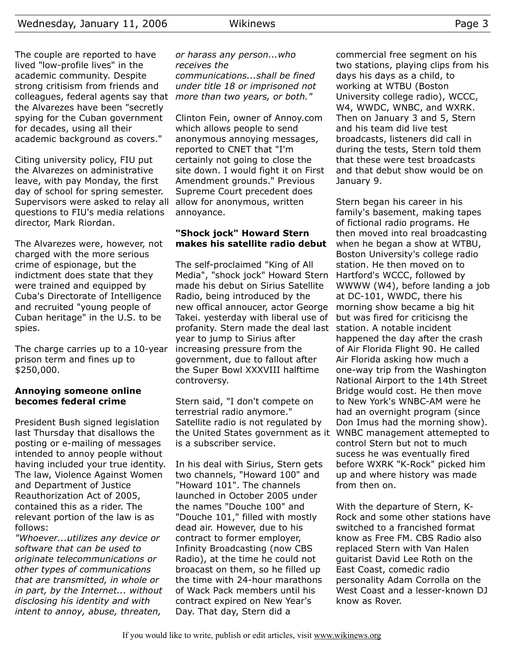The couple are reported to have lived "low-profile lives" in the academic community. Despite strong critisism from friends and colleagues, federal agents say that *more than two years, or both."* the Alvarezes have been "secretly spying for the Cuban government for decades, using all their academic background as covers."

Citing university policy, FIU put the Alvarezes on administrative leave, with pay Monday, the first day of school for spring semester. Supervisors were asked to relay all questions to FIU's media relations director, Mark Riordan.

The Alvarezes were, however, not charged with the more serious crime of espionage, but the indictment does state that they were trained and equipped by Cuba's Directorate of Intelligence and recruited "young people of Cuban heritage" in the U.S. to be spies.

The charge carries up to a 10-year prison term and fines up to \$250,000.

#### **Annoying someone online becomes federal crime**

President Bush signed legislation last Thursday that disallows the posting or e-mailing of messages intended to annoy people without having included your true identity. The law, Violence Against Women and Department of Justice Reauthorization Act of 2005, contained this as a rider. The relevant portion of the law is as follows:

*"Whoever...utilizes any device or software that can be used to originate telecommunications or other types of communications that are transmitted, in whole or in part, by the Internet... without disclosing his identity and with intent to annoy, abuse, threaten,*

# *or harass any person...who receives the communications...shall be fined under title 18 or imprisoned not*

Clinton Fein, owner of Annoy.com which allows people to send anonymous annoying messages, reported to CNET that "I'm certainly not going to close the site down. I would fight it on First Amendment grounds." Previous Supreme Court precedent does allow for anonymous, written annoyance.

#### **"Shock jock" Howard Stern makes his satellite radio debut**

The self-proclaimed "King of All Media", "shock jock" Howard Stern made his debut on Sirius Satellite Radio, being introduced by the new offical annoucer, actor George Takei. yesterday with liberal use of profanity. Stern made the deal last station. A notable incident year to jump to Sirius after increasing pressure from the government, due to fallout after the Super Bowl XXXVIII halftime controversy.

Stern said, "I don't compete on terrestrial radio anymore." Satellite radio is not regulated by is a subscriber service.

In his deal with Sirius, Stern gets two channels, "Howard 100" and "Howard 101". The channels launched in October 2005 under the names "Douche 100" and "Douche 101," filled with mostly dead air. However, due to his contract to former employer, Infinity Broadcasting (now CBS Radio), at the time he could not broacast on them, so he filled up the time with 24-hour marathons of Wack Pack members until his contract expired on New Year's Day. That day, Stern did a

commercial free segment on his two stations, playing clips from his days his days as a child, to working at WTBU (Boston University college radio), WCCC, W4, WWDC, WNBC, and WXRK. Then on January 3 and 5, Stern and his team did live test broadcasts, listeners did call in during the tests, Stern told them that these were test broadcasts and that debut show would be on January 9.

the United States government as it WNBC management attemepted to Stern began his career in his family's basement, making tapes of fictional radio programs. He then moved into real broadcasting when he began a show at WTBU, Boston University's college radio station. He then moved on to Hartford's WCCC, followed by WWWW (W4), before landing a job at DC-101, WWDC, there his morning show became a big hit but was fired for criticisng the happened the day after the crash of Air Florida Flight 90. He called Air Florida asking how much a one-way trip from the Washington National Airport to the 14th Street Bridge would cost. He then move to New York's WNBC-AM were he had an overnight program (since Don Imus had the morning show). control Stern but not to much sucess he was eventually fired before WXRK "K-Rock" picked him up and where history was made from then on.

> With the departure of Stern, K-Rock and some other stations have switched to a francished format know as Free FM. CBS Radio also replaced Stern with Van Halen guitarist David Lee Roth on the East Coast, comedic radio personality Adam Corrolla on the West Coast and a lesser-known DJ know as Rover.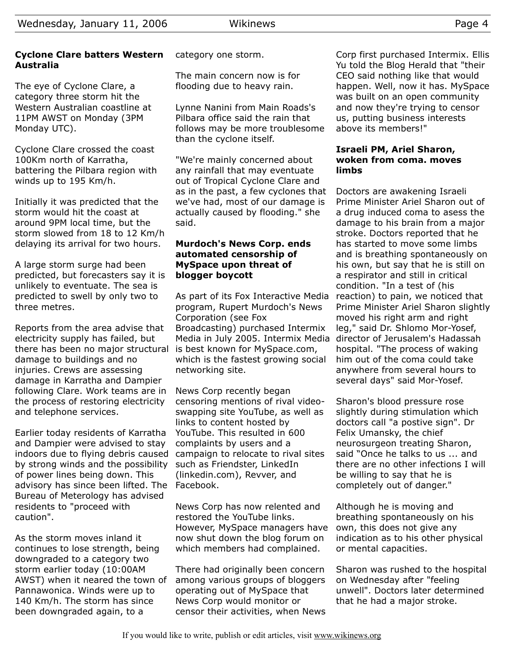# **Cyclone Clare batters Western Australia**

The eye of Cyclone Clare, a category three storm hit the Western Australian coastline at 11PM AWST on Monday (3PM Monday UTC).

Cyclone Clare crossed the coast 100Km north of Karratha, battering the Pilbara region with winds up to 195 Km/h.

Initially it was predicted that the storm would hit the coast at around 9PM local time, but the storm slowed from 18 to 12 Km/h delaying its arrival for two hours.

A large storm surge had been predicted, but forecasters say it is unlikely to eventuate. The sea is predicted to swell by only two to three metres.

Reports from the area advise that electricity supply has failed, but there has been no major structural damage to buildings and no injuries. Crews are assessing damage in Karratha and Dampier following Clare. Work teams are in the process of restoring electricity and telephone services.

Earlier today residents of Karratha and Dampier were advised to stay indoors due to flying debris caused by strong winds and the possibility of power lines being down. This advisory has since been lifted. The Facebook. Bureau of Meterology has advised residents to "proceed with caution".

As the storm moves inland it continues to lose strength, being downgraded to a category two storm earlier today (10:00AM AWST) when it neared the town of Pannawonica. Winds were up to 140 Km/h. The storm has since been downgraded again, to a

category one storm.

The main concern now is for flooding due to heavy rain.

Lynne Nanini from Main Roads's Pilbara office said the rain that follows may be more troublesome than the cyclone itself.

"We're mainly concerned about any rainfall that may eventuate out of Tropical Cyclone Clare and as in the past, a few cyclones that we've had, most of our damage is actually caused by flooding." she said.

#### **Murdoch's News Corp. ends automated censorship of MySpace upon threat of blogger boycott**

As part of its Fox Interactive Media program, Rupert Murdoch's News Corporation (see Fox Broadcasting) purchased Intermix Media in July 2005. Intermix Media is best known for MySpace.com, which is the fastest growing social networking site.

News Corp recently began censoring mentions of rival videoswapping site YouTube, as well as links to content hosted by YouTube. This resulted in 600 complaints by users and a campaign to relocate to rival sites such as Friendster, LinkedIn (linkedin.com), Revver, and

News Corp has now relented and restored the YouTube links. However, MySpace managers have now shut down the blog forum on which members had complained.

There had originally been concern among various groups of bloggers operating out of MySpace that News Corp would monitor or censor their activities, when News Corp first purchased Intermix. Ellis Yu told the Blog Herald that "their CEO said nothing like that would happen. Well, now it has. MySpace was built on an open community and now they're trying to censor us, putting business interests above its members!"

#### **Israeli PM, Ariel Sharon, woken from coma. moves limbs**

Doctors are awakening Israeli Prime Minister Ariel Sharon out of a drug induced coma to asess the damage to his brain from a major stroke. Doctors reported that he has started to move some limbs and is breathing spontaneously on his own, but say that he is still on a respirator and still in critical condition. "In a test of (his reaction) to pain, we noticed that Prime Minister Ariel Sharon slightly moved his right arm and right leg," said Dr. Shlomo Mor-Yosef, director of Jerusalem's Hadassah hospital. "The process of waking him out of the coma could take anywhere from several hours to several days" said Mor-Yosef.

Sharon's blood pressure rose slightly during stimulation which doctors call "a postive sign". Dr Felix Umansky, the chief neurosurgeon treating Sharon, said "Once he talks to us ... and there are no other infections I will be willing to say that he is completely out of danger."

Although he is moving and breathing spontaneously on his own, this does not give any indication as to his other physical or mental capacities.

Sharon was rushed to the hospital on Wednesday after "feeling unwell". Doctors later determined that he had a major stroke.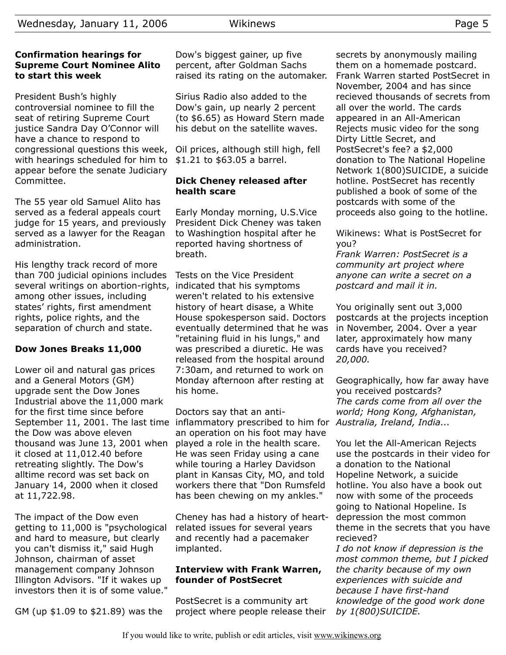#### **Confirmation hearings for Supreme Court Nominee Alito to start this week**

President Bush's highly controversial nominee to fill the seat of retiring Supreme Court justice Sandra Day O'Connor will have a chance to respond to congressional questions this week, with hearings scheduled for him to appear before the senate Judiciary Committee.

The 55 year old Samuel Alito has served as a federal appeals court judge for 15 years, and previously served as a lawyer for the Reagan administration.

His lengthy track record of more than 700 judicial opinions includes several writings on abortion-rights, among other issues, including states' rights, first amendment rights, police rights, and the separation of church and state.

# **Dow Jones Breaks 11,000**

Lower oil and natural gas prices and a General Motors (GM) upgrade sent the Dow Jones Industrial above the 11,000 mark for the first time since before the Dow was above eleven thousand was June 13, 2001 when it closed at 11,012.40 before retreating slightly. The Dow's alltime record was set back on January 14, 2000 when it closed at 11,722.98.

The impact of the Dow even getting to 11,000 is "psychological and hard to measure, but clearly you can't dismiss it," said Hugh Johnson, chairman of asset management company Johnson Illington Advisors. "If it wakes up investors then it is of some value."

GM (up \$1.09 to \$21.89) was the

Dow's biggest gainer, up five percent, after Goldman Sachs raised its rating on the automaker.

Sirius Radio also added to the Dow's gain, up nearly 2 percent (to \$6.65) as Howard Stern made his debut on the satellite waves.

Oil prices, although still high, fell \$1.21 to \$63.05 a barrel.

## **Dick Cheney released after health scare**

Early Monday morning, U.S.Vice President Dick Cheney was taken to Washingtion hospital after he reported having shortness of breath.

Tests on the Vice President indicated that his symptoms weren't related to his extensive history of heart disase, a White House spokesperson said. Doctors eventually determined that he was "retaining fluid in his lungs," and was prescribed a diuretic. He was released from the hospital around 7:30am, and returned to work on Monday afternoon after resting at his home.

September 11, 2001. The last time inflammatory prescribed to him for *Australia, Ireland, India...* Doctors say that an antian operation on his foot may have played a role in the health scare. He was seen Friday using a cane while touring a Harley Davidson plant in Kansas City, MO, and told workers there that "Don Rumsfeld has been chewing on my ankles."

> Cheney has had a history of heartrelated issues for several years and recently had a pacemaker implanted.

#### **Interview with Frank Warren, founder of PostSecret**

PostSecret is a community art project where people release their secrets by anonymously mailing them on a homemade postcard. Frank Warren started PostSecret in November, 2004 and has since recieved thousands of secrets from all over the world. The cards appeared in an All-American Rejects music video for the song Dirty Little Secret, and PostSecret's fee? a \$2,000 donation to The National Hopeline Network 1(800)SUICIDE, a suicide hotline. PostSecret has recently published a book of some of the postcards with some of the proceeds also going to the hotline.

Wikinews: What is PostSecret for you?

*Frank Warren: PostSecret is a community art project where anyone can write a secret on a postcard and mail it in.*

You originally sent out 3,000 postcards at the projects inception in November, 2004. Over a year later, approximately how many cards have you received? *20,000.*

Geographically, how far away have you received postcards? *The cards come from all over the world; Hong Kong, Afghanistan,*

You let the All-American Rejects use the postcards in their video for a donation to the National Hopeline Network, a suicide hotline. You also have a book out now with some of the proceeds going to National Hopeline. Is depression the most common theme in the secrets that you have recieved?

*I do not know if depression is the most common theme, but I picked the charity because of my own experiences with suicide and because I have first-hand knowledge of the good work done by 1(800)SUICIDE.*